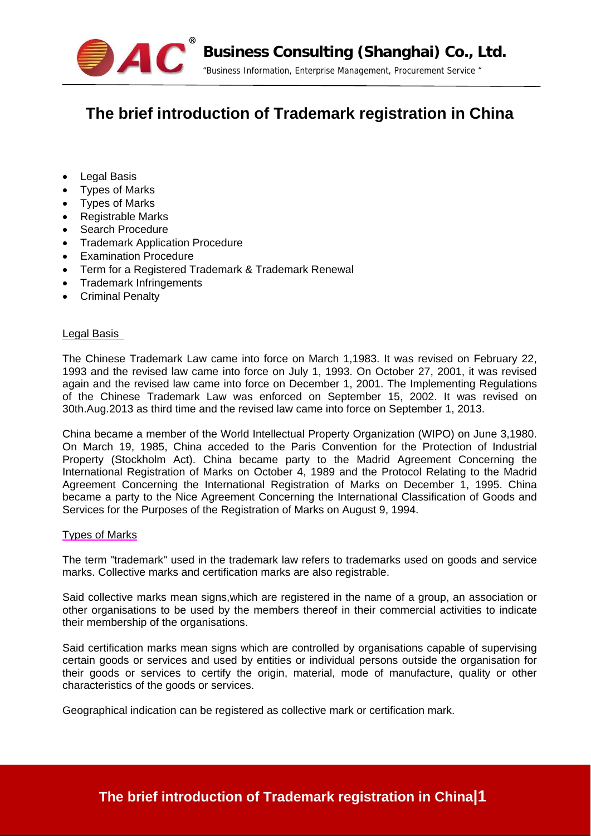

# **The brief introduction of Trademark registration in China**

- Legal Basis
- Types of Marks
- Types of Marks
- Registrable Marks
- Search Procedure
- Trademark Application Procedure
- Examination Procedure
- Term for a Registered Trademark & Trademark Renewal
- Trademark Infringements
- Criminal Penalty

## Legal Basis

The Chinese Trademark Law came into force on March 1,1983. It was revised on February 22, 1993 and the revised law came into force on July 1, 1993. On October 27, 2001, it was revised again and the revised law came into force on December 1, 2001. The Implementing Regulations of the Chinese Trademark Law was enforced on September 15, 2002. It was revised on 30th.Aug.2013 as third time and the revised law came into force on September 1, 2013.

China became a member of the World Intellectual Property Organization (WIPO) on June 3,1980. On March 19, 1985, China acceded to the Paris Convention for the Protection of Industrial Property (Stockholm Act). China became party to the Madrid Agreement Concerning the International Registration of Marks on October 4, 1989 and the Protocol Relating to the Madrid Agreement Concerning the International Registration of Marks on December 1, 1995. China became a party to the Nice Agreement Concerning the International Classification of Goods and Services for the Purposes of the Registration of Marks on August 9, 1994.

## Types of Marks

The term "trademark" used in the trademark law refers to trademarks used on goods and service marks. Collective marks and certification marks are also registrable.

Said collective marks mean signs,which are registered in the name of a group, an association or other organisations to be used by the members thereof in their commercial activities to indicate their membership of the organisations.

Said certification marks mean signs which are controlled by organisations capable of supervising certain goods or services and used by entities or individual persons outside the organisation for their goods or services to certify the origin, material, mode of manufacture, quality or other characteristics of the goods or services.

Geographical indication can be registered as collective mark or certification mark.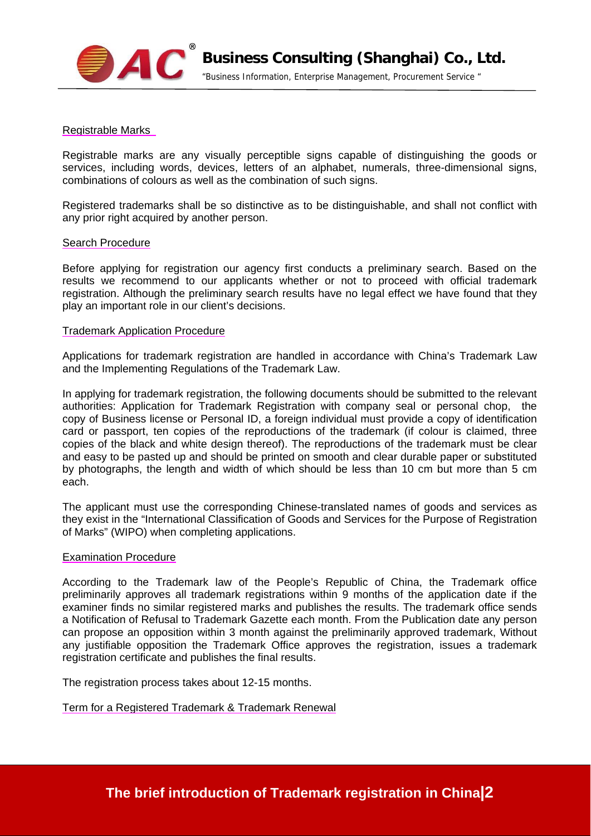

Registrable Marks

Registrable marks are any visually perceptible signs capable of distinguishing the goods or services, including words, devices, letters of an alphabet, numerals, three-dimensional signs, combinations of colours as well as the combination of such signs.

Registered trademarks shall be so distinctive as to be distinguishable, and shall not conflict with any prior right acquired by another person.

### Search Procedure

Before applying for registration our agency first conducts a preliminary search. Based on the results we recommend to our applicants whether or not to proceed with official trademark registration. Although the preliminary search results have no legal effect we have found that they play an important role in our client's decisions.

### Trademark Application Procedure

Applications for trademark registration are handled in accordance with China's Trademark Law and the Implementing Regulations of the Trademark Law.

In applying for trademark registration, the following documents should be submitted to the relevant authorities: Application for Trademark Registration with company seal or personal chop, the copy of Business license or Personal ID, a foreign individual must provide a copy of identification card or passport, ten copies of the reproductions of the trademark (if colour is claimed, three copies of the black and white design thereof). The reproductions of the trademark must be clear and easy to be pasted up and should be printed on smooth and clear durable paper or substituted by photographs, the length and width of which should be less than 10 cm but more than 5 cm each.

The applicant must use the corresponding Chinese-translated names of goods and services as they exist in the "International Classification of Goods and Services for the Purpose of Registration of Marks" (WIPO) when completing applications.

#### Examination Procedure

According to the Trademark law of the People's Republic of China, the Trademark office preliminarily approves all trademark registrations within 9 months of the application date if the examiner finds no similar registered marks and publishes the results. The trademark office sends a Notification of Refusal to Trademark Gazette each month. From the Publication date any person can propose an opposition within 3 month against the preliminarily approved trademark, Without any justifiable opposition the Trademark Office approves the registration, issues a trademark registration certificate and publishes the final results.

The registration process takes about 12-15 months.

Term for a Registered Trademark & Trademark Renewal